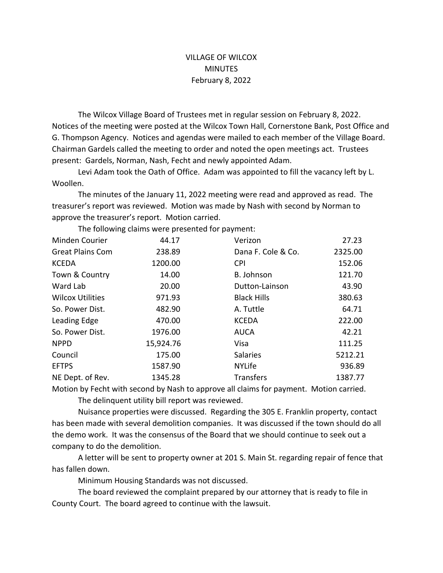## VILLAGE OF WILCOX **MINUTES** February 8, 2022

The Wilcox Village Board of Trustees met in regular session on February 8, 2022. Notices of the meeting were posted at the Wilcox Town Hall, Cornerstone Bank, Post Office and G. Thompson Agency. Notices and agendas were mailed to each member of the Village Board. Chairman Gardels called the meeting to order and noted the open meetings act. Trustees present: Gardels, Norman, Nash, Fecht and newly appointed Adam.

Levi Adam took the Oath of Office. Adam was appointed to fill the vacancy left by L. Woollen. 

The minutes of the January 11, 2022 meeting were read and approved as read. The treasurer's report was reviewed. Motion was made by Nash with second by Norman to approve the treasurer's report. Motion carried.

Minden Courier **44.17** Verizon 27.23 Great Plains Com 238.89 Dana F. Cole & Co. 2325.00 KCEDA 1200.00 CPI 152.06 Town & Country **14.00** B. Johnson 121.70 Ward Lab 20.00 Dutton-Lainson 43.90 Wilcox Utilities **971.93** Black Hills 380.63 So. Power Dist. 482.90 A. Tuttle 64.71 Leading Edge **470.00** KCEDA **222.00** So. Power Dist. 1976.00 AUCA 42.21 NPPD 15,924.76 Visa 111.25 Council 175.00 Salaries 5212.21 EFTPS 1587.90 NYLife 936.89 NE Dept. of Rev. 1345.28 Transfers 1387.77

The following claims were presented for payment:

Motion by Fecht with second by Nash to approve all claims for payment. Motion carried.

The delinquent utility bill report was reviewed.

Nuisance properties were discussed. Regarding the 305 E. Franklin property, contact has been made with several demolition companies. It was discussed if the town should do all the demo work. It was the consensus of the Board that we should continue to seek out a company to do the demolition.

A letter will be sent to property owner at 201 S. Main St. regarding repair of fence that has fallen down.

Minimum Housing Standards was not discussed.

The board reviewed the complaint prepared by our attorney that is ready to file in County Court. The board agreed to continue with the lawsuit.